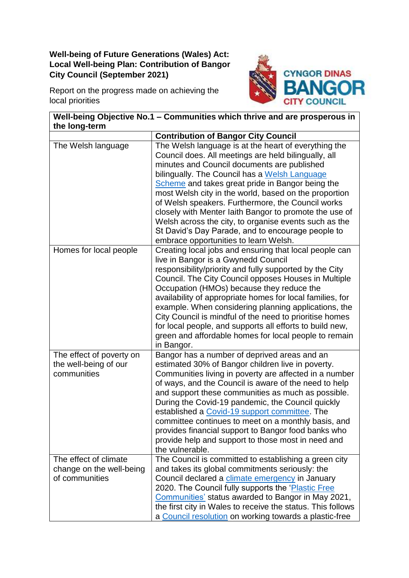## **Well-being of Future Generations (Wales) Act: Local Well-being Plan: Contribution of Bangor City Council (September 2021)**

Report on the progress made on achieving the local priorities



| Well-being Objective No.1 - Communities which thrive and are prosperous in<br>the long-term |                                                                                                                                                                                                                                                                                                                                                                                                                                                                                                                                                                                                 |
|---------------------------------------------------------------------------------------------|-------------------------------------------------------------------------------------------------------------------------------------------------------------------------------------------------------------------------------------------------------------------------------------------------------------------------------------------------------------------------------------------------------------------------------------------------------------------------------------------------------------------------------------------------------------------------------------------------|
|                                                                                             | <b>Contribution of Bangor City Council</b>                                                                                                                                                                                                                                                                                                                                                                                                                                                                                                                                                      |
| The Welsh language                                                                          | The Welsh language is at the heart of everything the<br>Council does. All meetings are held bilingually, all<br>minutes and Council documents are published<br>bilingually. The Council has a Welsh Language<br>Scheme and takes great pride in Bangor being the<br>most Welsh city in the world, based on the proportion<br>of Welsh speakers. Furthermore, the Council works<br>closely with Menter laith Bangor to promote the use of<br>Welsh across the city, to organise events such as the<br>St David's Day Parade, and to encourage people to<br>embrace opportunities to learn Welsh. |
| Homes for local people                                                                      | Creating local jobs and ensuring that local people can<br>live in Bangor is a Gwynedd Council<br>responsibility/priority and fully supported by the City<br>Council. The City Council opposes Houses in Multiple<br>Occupation (HMOs) because they reduce the<br>availability of appropriate homes for local families, for<br>example. When considering planning applications, the<br>City Council is mindful of the need to prioritise homes<br>for local people, and supports all efforts to build new,<br>green and affordable homes for local people to remain<br>in Bangor.                |
| The effect of poverty on<br>the well-being of our<br>communities                            | Bangor has a number of deprived areas and an<br>estimated 30% of Bangor children live in poverty.<br>Communities living in poverty are affected in a number<br>of ways, and the Council is aware of the need to help<br>and support these communities as much as possible.<br>During the Covid-19 pandemic, the Council quickly<br>established a Covid-19 support committee. The<br>committee continues to meet on a monthly basis, and<br>provides financial support to Bangor food banks who<br>provide help and support to those most in need and<br>the vulnerable.                         |
| The effect of climate<br>change on the well-being<br>of communities                         | The Council is committed to establishing a green city<br>and takes its global commitments seriously: the<br>Council declared a climate emergency in January<br>2020. The Council fully supports the 'Plastic Free<br>Communities' status awarded to Bangor in May 2021,<br>the first city in Wales to receive the status. This follows<br>a Council resolution on working towards a plastic-free                                                                                                                                                                                                |